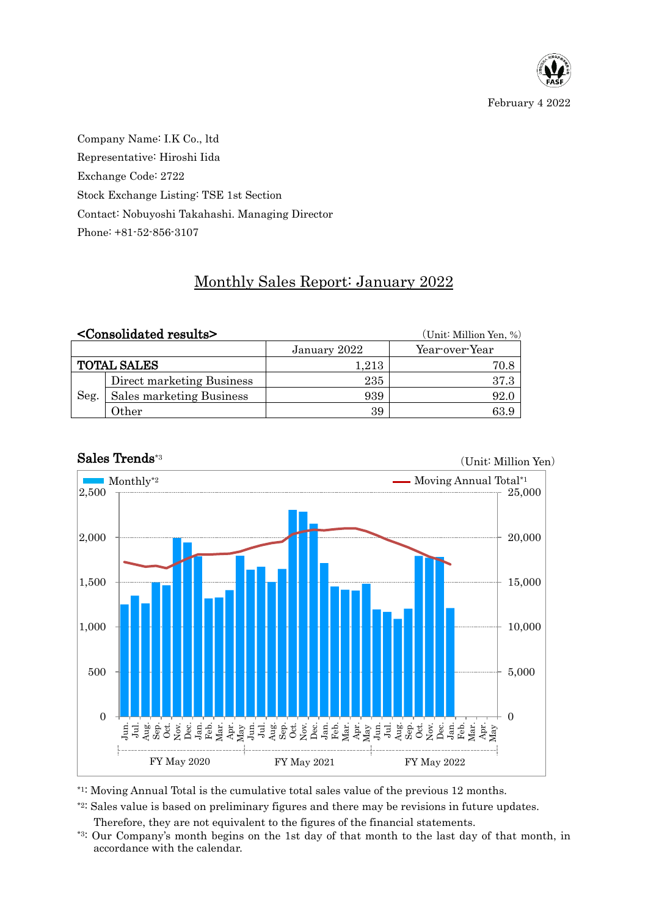

Company Name: I.K Co., ltd Representative: Hiroshi Iida Exchange Code: 2722 Stock Exchange Listing: TSE 1st Section Contact: Nobuyoshi Takahashi. Managing Director Phone: +81-52-856-3107

## Monthly Sales Report: January 2022

|                    | <consolidated results=""></consolidated> |              | (Unit: Million Yen, %) |  |  |
|--------------------|------------------------------------------|--------------|------------------------|--|--|
|                    |                                          | January 2022 | Year-over-Year         |  |  |
| <b>TOTAL SALES</b> |                                          | 1,213        | 70.8                   |  |  |
| Seg.               | Direct marketing Business                | 235          | 37.3                   |  |  |
|                    | Sales marketing Business                 | 939          | 92.0                   |  |  |
|                    | Other                                    | 39           | 63.9                   |  |  |



## Sales Trends\*3

\*1: Moving Annual Total is the cumulative total sales value of the previous 12 months.

\*2: Sales value is based on preliminary figures and there may be revisions in future updates.

Therefore, they are not equivalent to the figures of the financial statements.

\*3: Our Company's month begins on the 1st day of that month to the last day of that month, in accordance with the calendar.